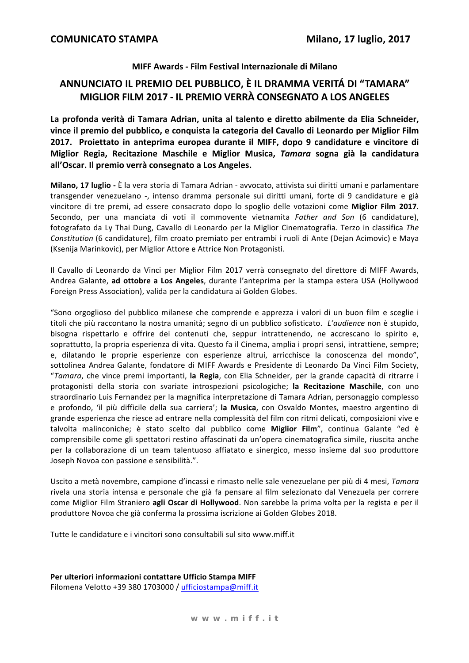#### MIFF Awards - Film Festival Internazionale di Milano

## ANNUNCIATO IL PREMIO DEL PUBBLICO, È IL DRAMMA VERITÁ DI "TAMARA" MIGLIOR FILM 2017 - IL PREMIO VERRÀ CONSEGNATO A LOS ANGELES

La profonda verità di Tamara Adrian, unita al talento e diretto abilmente da Elia Schneider. vince il premio del pubblico, e conquista la categoria del Cavallo di Leonardo per Miglior Film 2017. Proiettato in anteprima europea durante il MIFF, dopo 9 candidature e vincitore di Miglior Regia, Recitazione Maschile e Miglior Musica, Tamara sogna già la candidatura all'Oscar. Il premio verrà consegnato a Los Angeles.

Milano, 17 luglio - È la vera storia di Tamara Adrian - avvocato, attivista sui diritti umani e parlamentare transgender venezuelano -, intenso dramma personale sui diritti umani, forte di 9 candidature e già vincitore di tre premi, ad essere consacrato dopo lo spoglio delle votazioni come Miglior Film 2017. Secondo, per una manciata di voti il commovente vietnamita Father and Son (6 candidature), fotografato da Ly Thai Dung, Cavallo di Leonardo per la Miglior Cinematografia. Terzo in classifica The Constitution (6 candidature), film croato premiato per entrambi i ruoli di Ante (Deian Acimovic) e Mava (Ksenija Marinkovic), per Miglior Attore e Attrice Non Protagonisti.

Il Cavallo di Leonardo da Vinci per Miglior Film 2017 verrà consegnato del direttore di MIFF Awards, Andrea Galante, ad ottobre a Los Angeles, durante l'anteprima per la stampa estera USA (Hollywood Foreign Press Association), valida per la candidatura ai Golden Globes.

"Sono orgoglioso del pubblico milanese che comprende e apprezza i valori di un buon film e sceglie i titoli che più raccontano la nostra umanità; segno di un pubblico sofisticato. L'audience non è stupido, bisogna rispettarlo e offrire dei contenuti che, seppur intrattenendo, ne accrescano lo spirito e, soprattutto, la propria esperienza di vita. Questo fa il Cinema, amplia i propri sensi, intrattiene, sempre; e, dilatando le proprie esperienze con esperienze altrui, arricchisce la conoscenza del mondo", sottolinea Andrea Galante, fondatore di MIFF Awards e Presidente di Leonardo Da Vinci Film Society, "Tamara, che vince premi importanti, la Regia, con Elia Schneider, per la grande capacità di ritrarre i protagonisti della storia con svariate introspezioni psicologiche; la Recitazione Maschile, con uno straordinario Luis Fernandez per la magnifica interpretazione di Tamara Adrian, personaggio complesso e profondo, 'il più difficile della sua carriera'; la Musica, con Osvaldo Montes, maestro argentino di grande esperienza che riesce ad entrare nella complessità del film con ritmi delicati, composizioni vive e talvolta malinconiche; è stato scelto dal pubblico come Miglior Film", continua Galante "ed è comprensibile come gli spettatori restino affascinati da un'opera cinematografica simile, riuscita anche per la collaborazione di un team talentuoso affiatato e sinergico, messo insieme dal suo produttore Joseph Novoa con passione e sensibilità.".

Uscito a metà novembre, campione d'incassi e rimasto nelle sale venezuelane per più di 4 mesi, Tamara rivela una storia intensa e personale che già fa pensare al film selezionato dal Venezuela per correre come Miglior Film Straniero agli Oscar di Hollywood. Non sarebbe la prima volta per la regista e per il produttore Novoa che già conferma la prossima iscrizione ai Golden Globes 2018.

Tutte le candidature e i vincitori sono consultabili sul sito www.miff.it

Per ulteriori informazioni contattare Ufficio Stampa MIFF Filomena Velotto +39 380 1703000 / ufficiostampa@miff.it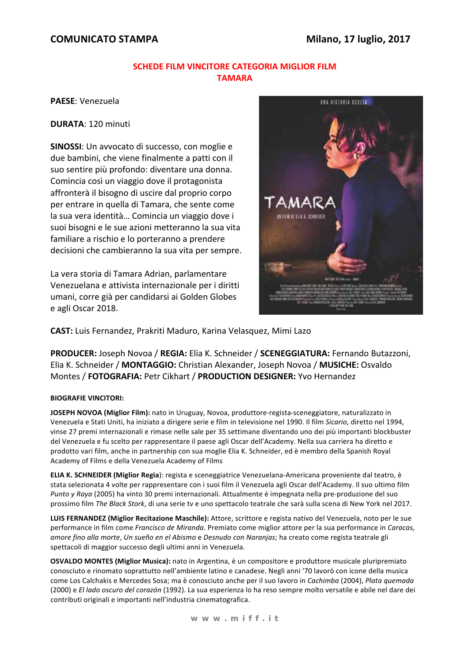## **COMUNICATO STAMPA**

### **SCHEDE FILM VINCITORE CATEGORIA MIGLIOR FILM** ΤΑΜΑΡΑ

PAESE: Venezuela

**DURATA: 120 minuti** 

SINOSSI: Un avvocato di successo, con moglie e due bambini, che viene finalmente a patti con il suo sentire più profondo: diventare una donna. Comincia così un viaggio dove il protagonista affronterà il bisogno di uscire dal proprio corpo per entrare in quella di Tamara, che sente come la sua vera identità... Comincia un viaggio dove i suoi bisogni e le sue azioni metteranno la sua vita familiare a rischio e lo porteranno a prendere decisioni che cambieranno la sua vita per sempre.

La vera storia di Tamara Adrian, parlamentare Venezuelana e attivista internazionale per i diritti umani, corre già per candidarsi ai Golden Globes e agli Oscar 2018.



CAST: Luis Fernandez, Prakriti Maduro, Karina Velasquez, Mimi Lazo

PRODUCER: Joseph Novoa / REGIA: Elia K. Schneider / SCENEGGIATURA: Fernando Butazzoni, Elia K. Schneider / MONTAGGIO: Christian Alexander, Joseph Novoa / MUSICHE: Osvaldo Montes / FOTOGRAFIA: Petr Cikhart / PRODUCTION DESIGNER: Yvo Hernandez

#### **BIOGRAFIE VINCITORI:**

JOSEPH NOVOA (Miglior Film): nato in Uruguay, Novoa, produttore-regista-sceneggiatore, naturalizzato in Venezuela e Stati Uniti, ha iniziato a dirigere serie e film in televisione nel 1990. Il film Sicario, diretto nel 1994. vinse 27 premi internazionali e rimase nelle sale per 35 settimane diventando uno dei più importanti blockbuster del Venezuela e fu scelto per rappresentare il paese agli Oscar dell'Academy. Nella sua carriera ha diretto e prodotto vari film, anche in partnership con sua moglie Elia K. Schneider, ed è membro della Spanish Royal Academy of Films e della Venezuela Academy of Films

ELIA K. SCHNEIDER (Miglior Regia): regista e sceneggiatrice Venezuelana-Americana proveniente dal teatro, è stata selezionata 4 volte per rappresentare con i suoi film il Venezuela agli Oscar dell'Academy. Il suo ultimo film Punto y Raya (2005) ha vinto 30 premi internazionali. Attualmente è impegnata nella pre-produzione del suo prossimo film The Black Stork, di una serie tv e uno spettacolo teatrale che sarà sulla scena di New York nel 2017.

LUIS FERNANDEZ (Miglior Recitazione Maschile): Attore, scrittore e regista nativo del Venezuela, noto per le sue performance in film come Francisco de Miranda. Premiato come miglior attore per la sua performance in Caracas, amore fino alla morte, Un sueño en el Abismo e Desnudo con Naranjas; ha creato come regista teatrale gli spettacoli di maggior successo degli ultimi anni in Venezuela.

OSVALDO MONTES (Miglior Musica): nato in Argentina, è un compositore e produttore musicale pluripremiato conosciuto e rinomato soprattutto nell'ambiente latino e canadese. Negli anni '70 lavorò con icone della musica come Los Calchakis e Mercedes Sosa; ma è conosciuto anche per il suo lavoro in Cachimba (2004), Plata quemada (2000) e El lado oscuro del corazón (1992). La sua esperienza lo ha reso sempre molto versatile e abile nel dare dei contributi originali e importanti nell'industria cinematografica.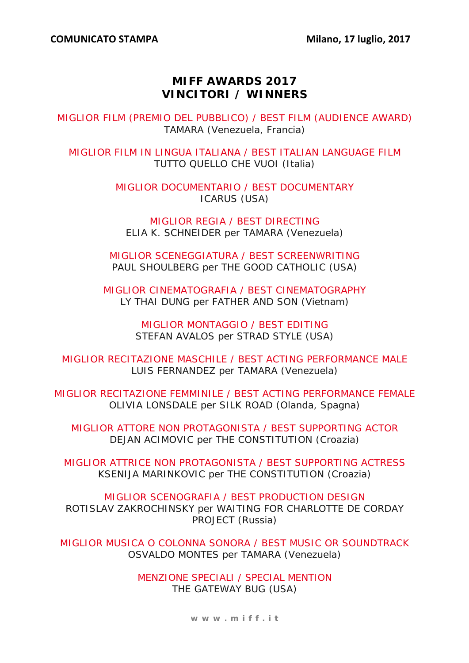# **MIFF AWARDS 2017 VINCITORI / WINNERS**

MIGLIOR FILM (PREMIO DEL PUBBLICO) / BEST FILM (AUDIENCE AWARD) TAMARA (Venezuela, Francia)

MIGLIOR FILM IN LINGUA ITALIANA / BEST ITALIAN LANGUAGE FILM TUTTO QUELLO CHE VUOI (Italia)

> MIGLIOR DOCUMENTARIO / BEST DOCUMENTARY ICARUS (USA)

MIGLIOR REGIA / BEST DIRECTING ELIA K. SCHNEIDER per TAMARA (Venezuela)

MIGLIOR SCENEGGIATURA / BEST SCREENWRITING PAUL SHOULBERG per THE GOOD CATHOLIC (USA)

MIGLIOR CINEMATOGRAFIA / BEST CINEMATOGRAPHY LY THAI DUNG per FATHER AND SON (Vietnam)

> MIGLIOR MONTAGGIO / BEST EDITING STEFAN AVALOS per STRAD STYLE (USA)

MIGLIOR RECITAZIONE MASCHILE / BEST ACTING PERFORMANCE MALE LUIS FERNANDEZ per TAMARA (Venezuela)

MIGLIOR RECITAZIONE FEMMINILE / BEST ACTING PERFORMANCE FEMALE OLIVIA LONSDALE per SILK ROAD (Olanda, Spagna)

MIGLIOR ATTORE NON PROTAGONISTA / BEST SUPPORTING ACTOR DEJAN ACIMOVIC per THE CONSTITUTION (Croazia)

MIGLIOR ATTRICE NON PROTAGONISTA / BEST SUPPORTING ACTRESS KSENIJA MARINKOVIC per THE CONSTITUTION (Croazia)

MIGLIOR SCENOGRAFIA / BEST PRODUCTION DESIGN ROTISLAV ZAKROCHINSKY per WAITING FOR CHARLOTTE DE CORDAY PROJECT (Russia)

MIGLIOR MUSICA O COLONNA SONORA / BEST MUSIC OR SOUNDTRACK OSVALDO MONTES per TAMARA (Venezuela)

> MENZIONE SPECIALI / SPECIAL MENTION THE GATEWAY BUG (USA)